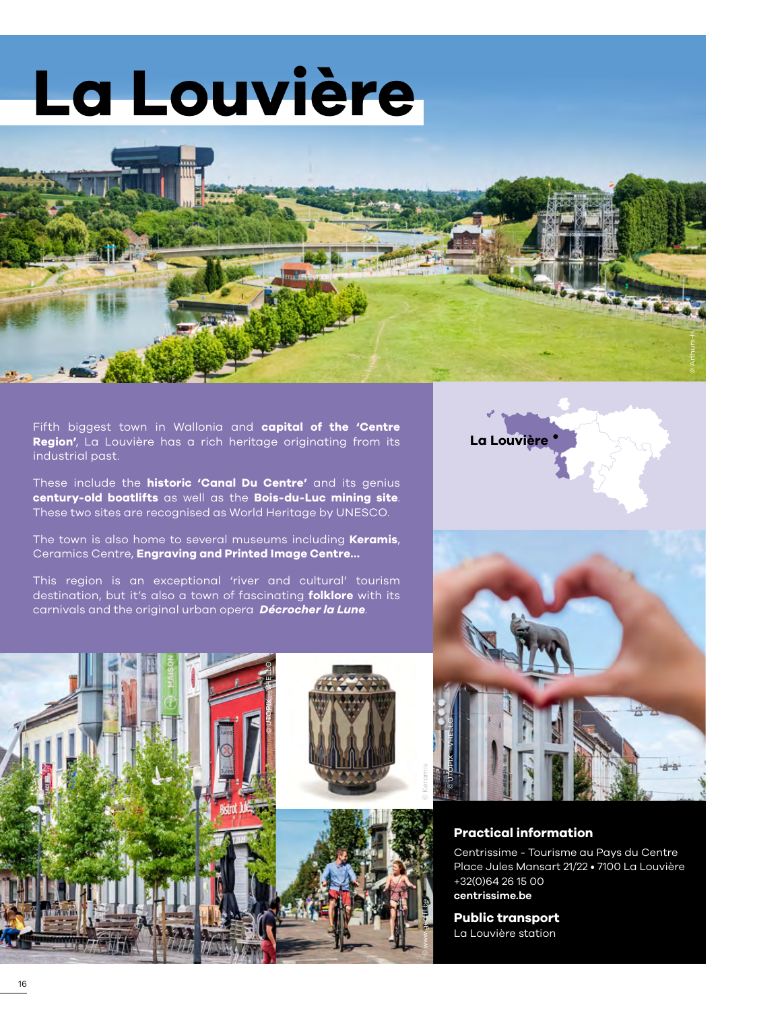# **La Louvière**



Fifth biggest town in Wallonia and **capital of the 'Centre Region'**, La Louvière has a rich heritage originating from its industrial past.

These include the **historic 'Canal Du Centre'** and its genius **century-old boatlifts** as well as the **Bois-du-Luc mining site**. These two sites are recognised as World Heritage by UNESCO.

The town is also home to several museums including **Keramis**, Ceramics Centre, **Engraving and Printed Image Centre…**

This region is an exceptional 'river and cultural' tourism destination, but it's also a town of fascinating **folklore** with its carnivals and the original urban opera *Décrocher la Lune*.

© UTOPIX – VHELLO



#### **Practical information**

Centrissime - Tourisme au Pays du Centre Place Jules Mansart 21/22 • 7100 La Louvière +32(0)64 26 15 00 **[centrissime.be](www.centrissime.be)** 

**Public transport**  La Louvière station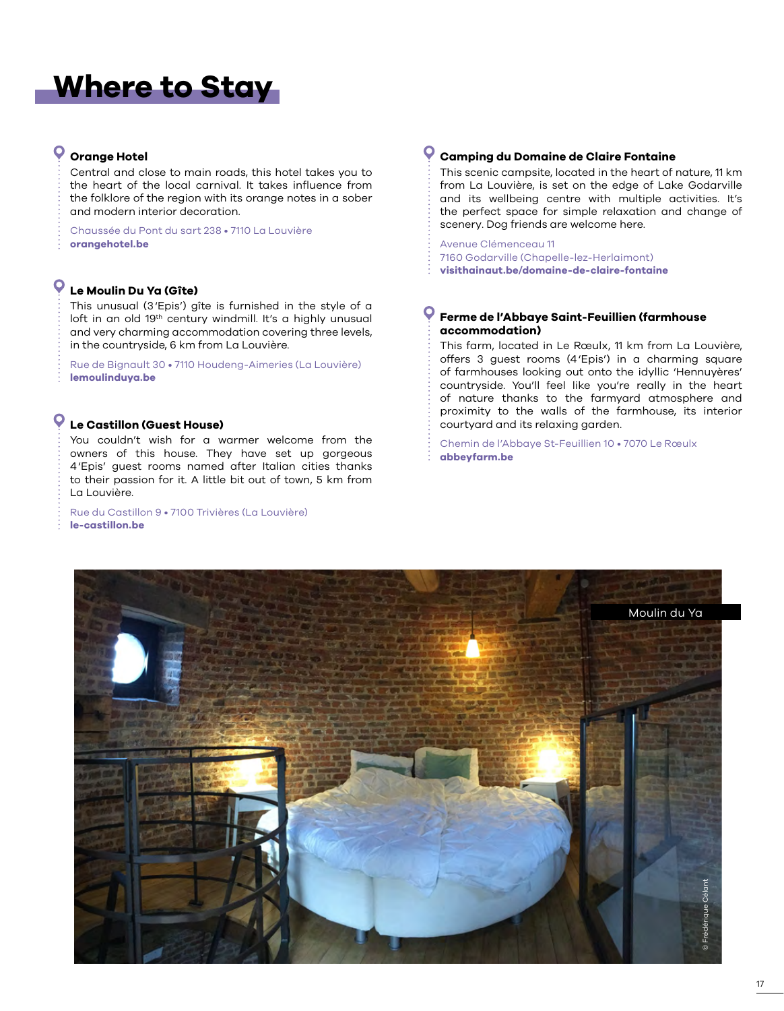# **Where to Stay**

#### **Orange Hotel**

Central and close to main roads, this hotel takes you to the heart of the local carnival. It takes influence from the folklore of the region with its orange notes in a sober and modern interior decoration.

Chaussée du Pont du sart 238 • 7110 La Louvière **[orangehotel.be](www.thestreetlodge.be)**

## **Le Moulin Du Ya (Gîte)**

This unusual (3'Epis') gîte is furnished in the style of a loft in an old 19<sup>th</sup> century windmill. It's a highly unusual and very charming accommodation covering three levels, in the countryside, 6 km from La Louvière.

Rue de Bignault 30 • 7110 Houdeng-Aimeries (La Louvière) **[lemoulinduya.be](www.lemoulinduya.be)**

#### $\mathbf{o}$ **Le Castillon (Guest House)**

You couldn't wish for a warmer welcome from the owners of this house. They have set up gorgeous 4'Epis' guest rooms named after Italian cities thanks to their passion for it. A little bit out of town, 5 km from La Louvière.

Rue du Castillon 9 • 7100 Trivières (La Louvière) **[le-castillon.be](http://le-castillon.be)**

#### Q **Camping du Domaine de Claire Fontaine**

This scenic campsite, located in the heart of nature, 11 km from La Louvière, is set on the edge of Lake Godarville and its wellbeing centre with multiple activities. It's the perfect space for simple relaxation and change of scenery. Dog friends are welcome here.

Avenue Clémenceau 11 7160 Godarville (Chapelle-lez-Herlaimont) **[visithainaut.be/domaine-de-claire-fontaine](www.visithainaut.be/domaine-de-claire-fontaine/)**

#### **Ferme de l'Abbaye Saint-Feuillien (farmhouse accommodation)**

This farm, located in Le Rœulx, 11 km from La Louvière, offers 3 guest rooms (4'Epis') in a charming square of farmhouses looking out onto the idyllic 'Hennuyères' countryside. You'll feel like you're really in the heart of nature thanks to the farmyard atmosphere and proximity to the walls of the farmhouse, its interior courtyard and its relaxing garden.

Chemin de l'Abbaye St-Feuillien 10 • 7070 Le Rœulx **[abbeyfarm.be](http://www.abbeyfarm.be/)**

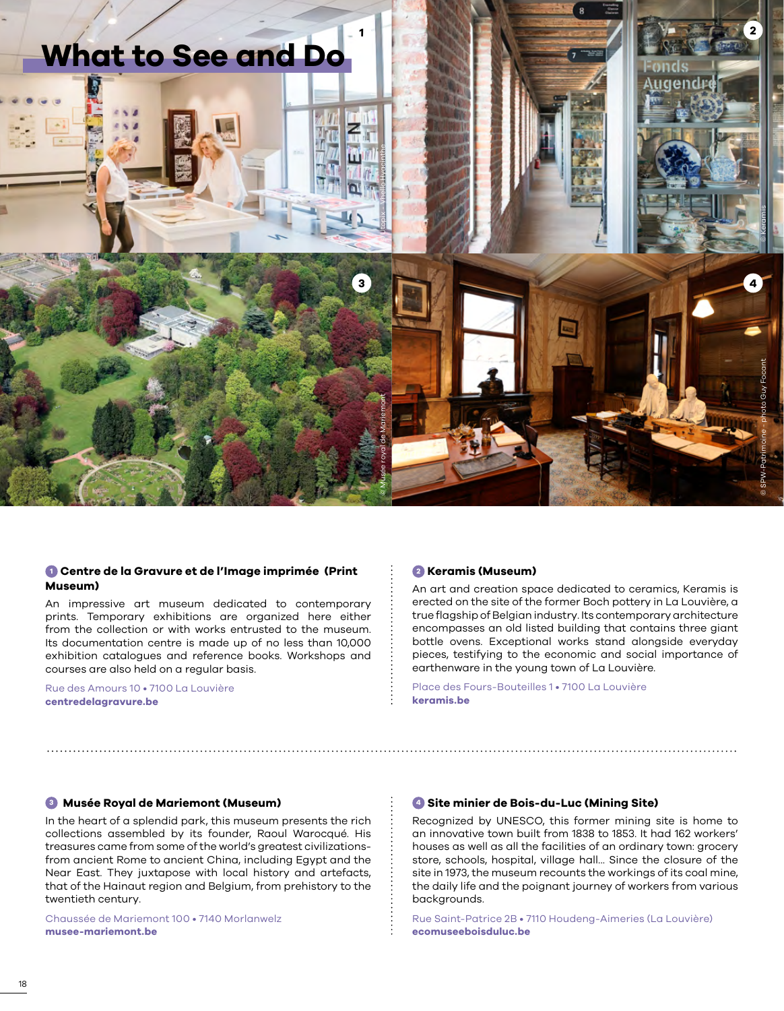

#### **<sup>1</sup> Centre de la Gravure et de l'Image imprimée (Print Museum)**

An impressive art museum dedicated to contemporary prints. Temporary exhibitions are organized here either from the collection or with works entrusted to the museum. Its documentation centre is made up of no less than 10,000 exhibition catalogues and reference books. Workshops and courses are also held on a regular basis.

Rue des Amours 10 • 7100 La Louvière **[centredelagravure.be](https://www.centredelagravure.be/fr)**

#### **<sup>2</sup> Keramis (Museum)**

An art and creation space dedicated to ceramics, Keramis is erected on the site of the former Boch pottery in La Louvière, a true flagship of Belgian industry. Its contemporary architecture encompasses an old listed building that contains three giant bottle ovens. Exceptional works stand alongside everyday pieces, testifying to the economic and social importance of earthenware in the young town of La Louvière.

Place des Fours-Bouteilles 1 • 7100 La Louvière **[keramis.be](http://www.keramis.be/)**

#### **<sup>3</sup> Musée Royal de Mariemont (Museum)**

In the heart of a splendid park, this museum presents the rich collections assembled by its founder, Raoul Warocqué. His treasures came from some of the world's greatest civilizationsfrom ancient Rome to ancient China, including Egypt and the Near East. They juxtapose with local history and artefacts, that of the Hainaut region and Belgium, from prehistory to the twentieth century.

Chaussée de Mariemont 100 • 7140 Morlanwelz **[musee-mariemont.be](http://www.musee-mariemont.be/)**

#### **<sup>4</sup> Site minier de Bois-du-Luc (Mining Site)**

Recognized by UNESCO, this former mining site is home to an innovative town built from 1838 to 1853. It had 162 workers' houses as well as all the facilities of an ordinary town: grocery store, schools, hospital, village hall... Since the closure of the site in 1973, the museum recounts the workings of its coal mine, the daily life and the poignant journey of workers from various backgrounds.

Rue Saint-Patrice 2B • 7110 Houdeng-Aimeries (La Louvière) **[ecomuseeboisduluc.be](http://www.ecomuseeboisduluc.be/)**